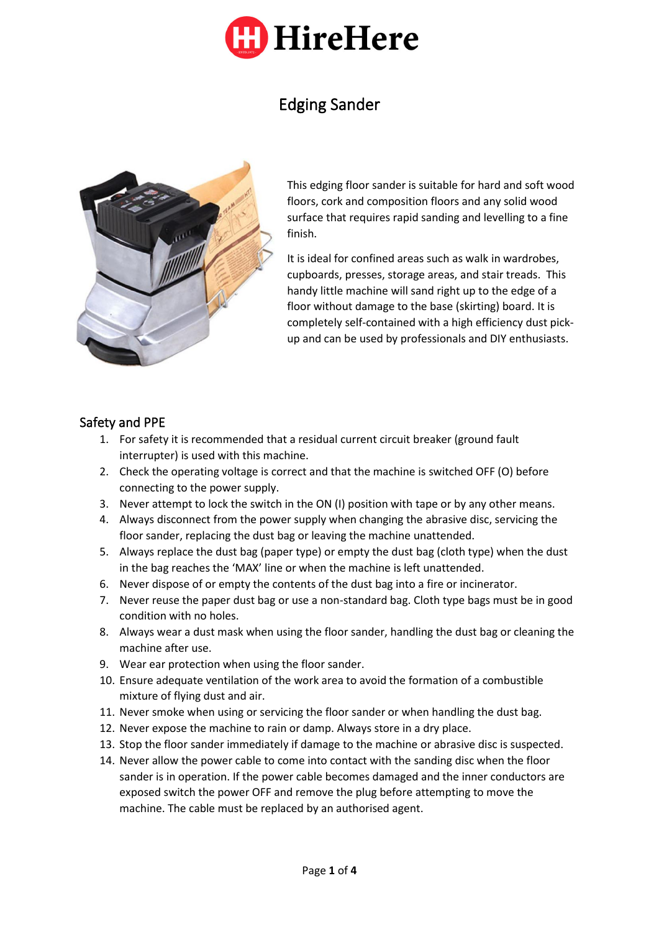

# Edging Sander



This edging floor sander is suitable for hard and soft wood floors, cork and composition floors and any solid wood surface that requires rapid sanding and levelling to a fine finish.

It is ideal for confined areas such as walk in wardrobes, cupboards, presses, storage areas, and stair treads. This handy little machine will sand right up to the edge of a floor without damage to the base (skirting) board. It is completely self-contained with a high efficiency dust pickup and can be used by professionals and DIY enthusiasts.

### Safety and PPE

- 1. For safety it is recommended that a residual current circuit breaker (ground fault interrupter) is used with this machine.
- 2. Check the operating voltage is correct and that the machine is switched OFF (O) before connecting to the power supply.
- 3. Never attempt to lock the switch in the ON (I) position with tape or by any other means.
- 4. Always disconnect from the power supply when changing the abrasive disc, servicing the floor sander, replacing the dust bag or leaving the machine unattended.
- 5. Always replace the dust bag (paper type) or empty the dust bag (cloth type) when the dust in the bag reaches the 'MAX' line or when the machine is left unattended.
- 6. Never dispose of or empty the contents of the dust bag into a fire or incinerator.
- 7. Never reuse the paper dust bag or use a non-standard bag. Cloth type bags must be in good condition with no holes.
- 8. Always wear a dust mask when using the floor sander, handling the dust bag or cleaning the machine after use.
- 9. Wear ear protection when using the floor sander.
- 10. Ensure adequate ventilation of the work area to avoid the formation of a combustible mixture of flying dust and air.
- 11. Never smoke when using or servicing the floor sander or when handling the dust bag.
- 12. Never expose the machine to rain or damp. Always store in a dry place.
- 13. Stop the floor sander immediately if damage to the machine or abrasive disc is suspected.
- 14. Never allow the power cable to come into contact with the sanding disc when the floor sander is in operation. If the power cable becomes damaged and the inner conductors are exposed switch the power OFF and remove the plug before attempting to move the machine. The cable must be replaced by an authorised agent.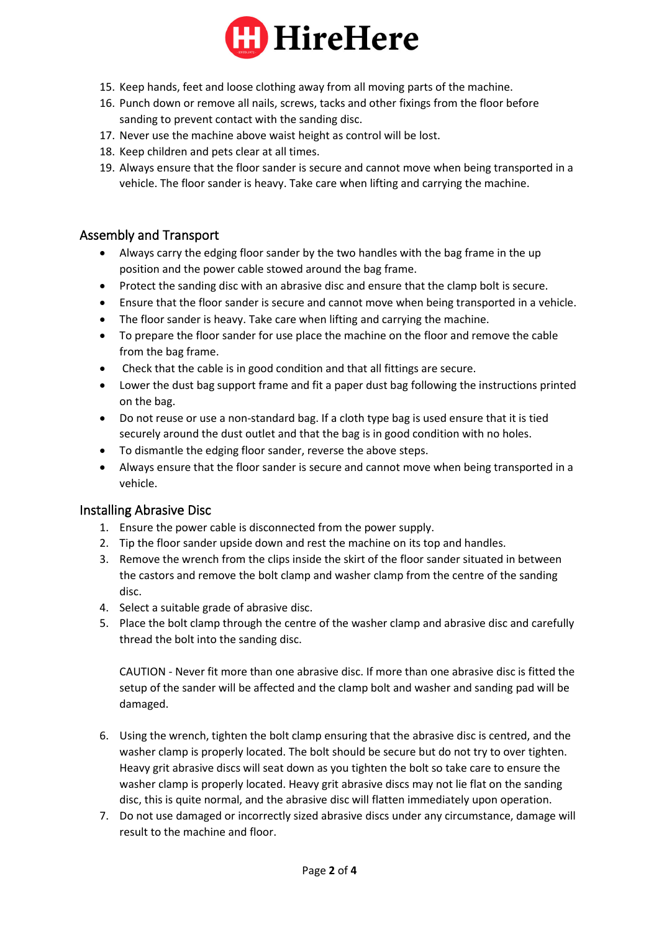

- 15. Keep hands, feet and loose clothing away from all moving parts of the machine.
- 16. Punch down or remove all nails, screws, tacks and other fixings from the floor before sanding to prevent contact with the sanding disc.
- 17. Never use the machine above waist height as control will be lost.
- 18. Keep children and pets clear at all times.
- 19. Always ensure that the floor sander is secure and cannot move when being transported in a vehicle. The floor sander is heavy. Take care when lifting and carrying the machine.

#### Assembly and Transport

- Always carry the edging floor sander by the two handles with the bag frame in the up position and the power cable stowed around the bag frame.
- Protect the sanding disc with an abrasive disc and ensure that the clamp bolt is secure.
- Ensure that the floor sander is secure and cannot move when being transported in a vehicle.
- The floor sander is heavy. Take care when lifting and carrying the machine.
- To prepare the floor sander for use place the machine on the floor and remove the cable from the bag frame.
- Check that the cable is in good condition and that all fittings are secure.
- Lower the dust bag support frame and fit a paper dust bag following the instructions printed on the bag.
- Do not reuse or use a non-standard bag. If a cloth type bag is used ensure that it is tied securely around the dust outlet and that the bag is in good condition with no holes.
- To dismantle the edging floor sander, reverse the above steps.
- Always ensure that the floor sander is secure and cannot move when being transported in a vehicle.

#### Installing Abrasive Disc

- 1. Ensure the power cable is disconnected from the power supply.
- 2. Tip the floor sander upside down and rest the machine on its top and handles.
- 3. Remove the wrench from the clips inside the skirt of the floor sander situated in between the castors and remove the bolt clamp and washer clamp from the centre of the sanding disc.
- 4. Select a suitable grade of abrasive disc.
- 5. Place the bolt clamp through the centre of the washer clamp and abrasive disc and carefully thread the bolt into the sanding disc.

CAUTION - Never fit more than one abrasive disc. If more than one abrasive disc is fitted the setup of the sander will be affected and the clamp bolt and washer and sanding pad will be damaged.

- 6. Using the wrench, tighten the bolt clamp ensuring that the abrasive disc is centred, and the washer clamp is properly located. The bolt should be secure but do not try to over tighten. Heavy grit abrasive discs will seat down as you tighten the bolt so take care to ensure the washer clamp is properly located. Heavy grit abrasive discs may not lie flat on the sanding disc, this is quite normal, and the abrasive disc will flatten immediately upon operation.
- 7. Do not use damaged or incorrectly sized abrasive discs under any circumstance, damage will result to the machine and floor.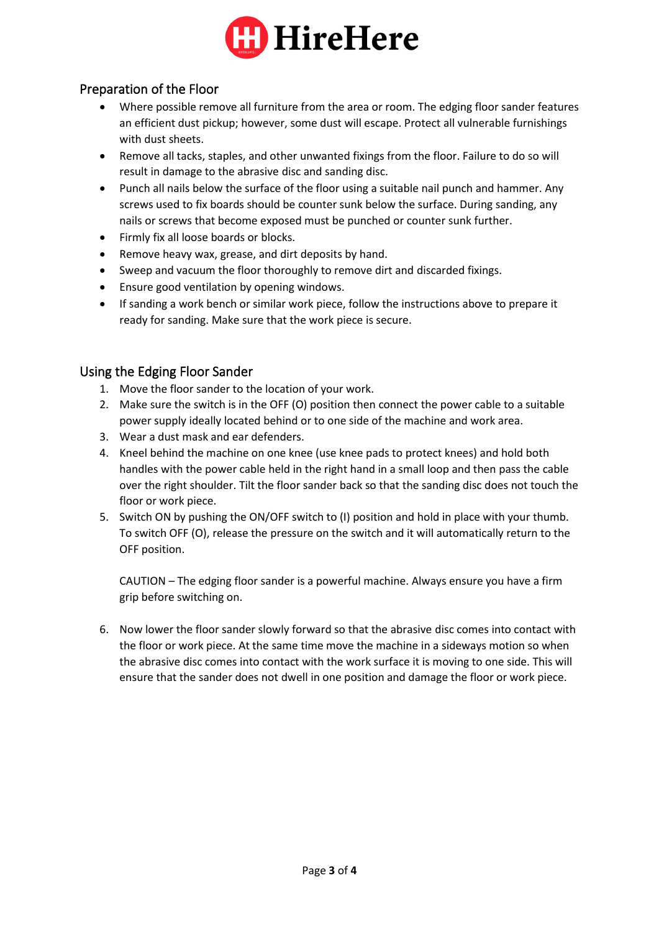

## Preparation of the Floor

- Where possible remove all furniture from the area or room. The edging floor sander features an efficient dust pickup; however, some dust will escape. Protect all vulnerable furnishings with dust sheets.
- Remove all tacks, staples, and other unwanted fixings from the floor. Failure to do so will result in damage to the abrasive disc and sanding disc.
- Punch all nails below the surface of the floor using a suitable nail punch and hammer. Any screws used to fix boards should be counter sunk below the surface. During sanding, any nails or screws that become exposed must be punched or counter sunk further.
- Firmly fix all loose boards or blocks.
- Remove heavy wax, grease, and dirt deposits by hand.
- Sweep and vacuum the floor thoroughly to remove dirt and discarded fixings.
- Ensure good ventilation by opening windows.
- If sanding a work bench or similar work piece, follow the instructions above to prepare it ready for sanding. Make sure that the work piece is secure.

## Using the Edging Floor Sander

- 1. Move the floor sander to the location of your work.
- 2. Make sure the switch is in the OFF (O) position then connect the power cable to a suitable power supply ideally located behind or to one side of the machine and work area.
- 3. Wear a dust mask and ear defenders.
- 4. Kneel behind the machine on one knee (use knee pads to protect knees) and hold both handles with the power cable held in the right hand in a small loop and then pass the cable over the right shoulder. Tilt the floor sander back so that the sanding disc does not touch the floor or work piece.
- 5. Switch ON by pushing the ON/OFF switch to (I) position and hold in place with your thumb. To switch OFF (O), release the pressure on the switch and it will automatically return to the OFF position.

CAUTION – The edging floor sander is a powerful machine. Always ensure you have a firm grip before switching on.

6. Now lower the floor sander slowly forward so that the abrasive disc comes into contact with the floor or work piece. At the same time move the machine in a sideways motion so when the abrasive disc comes into contact with the work surface it is moving to one side. This will ensure that the sander does not dwell in one position and damage the floor or work piece.